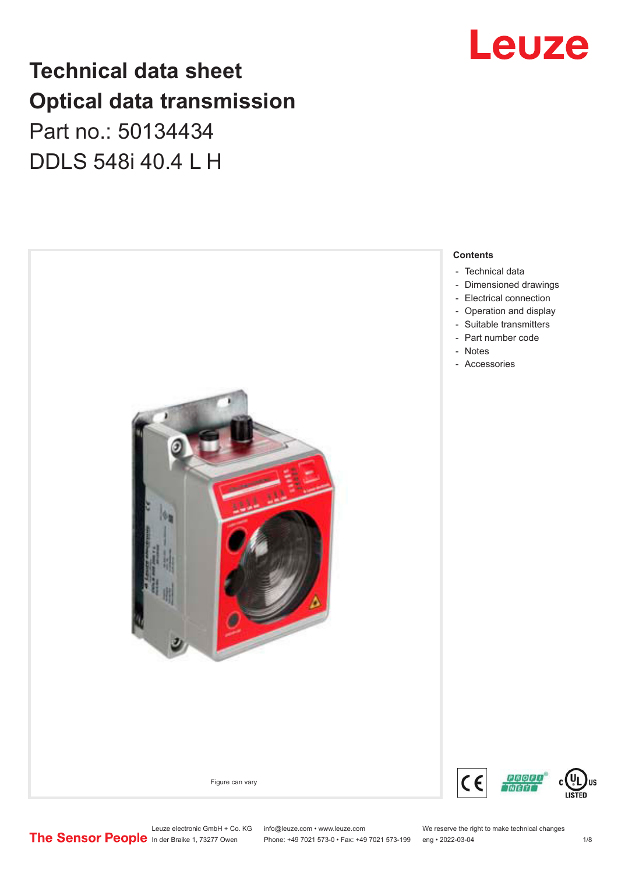## Leuze

## **Technical data sheet Optical data transmission**

## Part no.: 50134434 DDLS 548i 40.4 L H



Leuze electronic GmbH + Co. KG info@leuze.com • www.leuze.com We reserve the right to make technical changes<br>
The Sensor People in der Braike 1, 73277 Owen Phone: +49 7021 573-0 • Fax: +49 7021 573-199 eng • 2022-03-04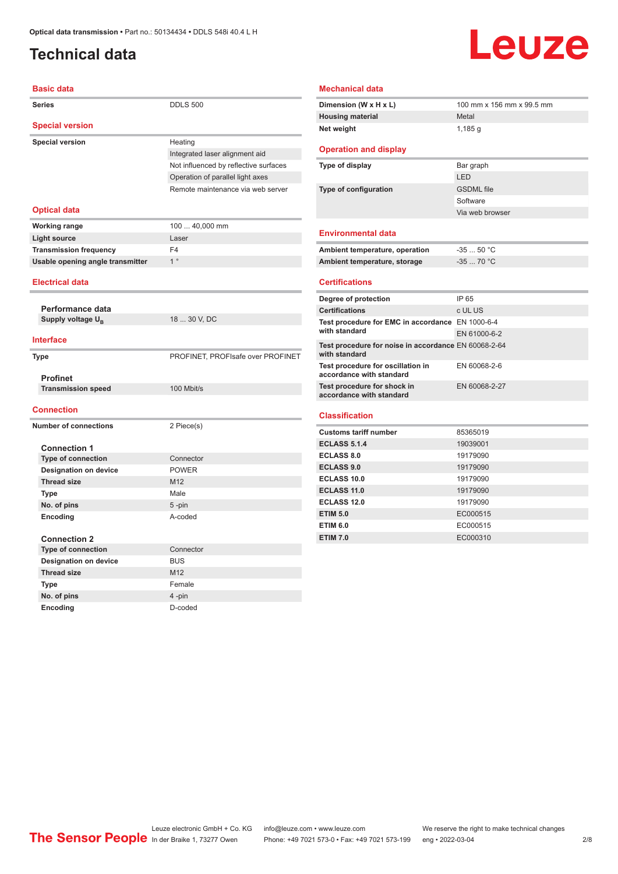### <span id="page-1-0"></span>**Technical data**

# **Leuze**

| <b>Basic data</b>                            |                                       |
|----------------------------------------------|---------------------------------------|
| <b>Series</b>                                | <b>DDLS 500</b>                       |
| <b>Special version</b>                       |                                       |
| <b>Special version</b>                       | Heating                               |
|                                              | Integrated laser alignment aid        |
|                                              | Not influenced by reflective surfaces |
|                                              | Operation of parallel light axes      |
|                                              | Remote maintenance via web server     |
| <b>Optical data</b>                          |                                       |
| <b>Working range</b>                         | 100  40,000 mm                        |
| <b>Light source</b>                          | Laser                                 |
| <b>Transmission frequency</b>                | F <sub>4</sub>                        |
| Usable opening angle transmitter             | 1 <sup>°</sup>                        |
|                                              |                                       |
| <b>Electrical data</b>                       |                                       |
|                                              |                                       |
| Performance data                             |                                       |
| Supply voltage U <sub>R</sub>                | 18  30 V, DC                          |
| <b>Interface</b>                             |                                       |
| <b>Type</b>                                  | PROFINET, PROFIsafe over PROFINET     |
|                                              |                                       |
| <b>Profinet</b><br><b>Transmission speed</b> | 100 Mbit/s                            |
|                                              |                                       |
| <b>Connection</b>                            |                                       |
| <b>Number of connections</b>                 | 2 Piece(s)                            |
|                                              |                                       |
| <b>Connection 1</b>                          |                                       |
| <b>Type of connection</b>                    | Connector                             |
| <b>Designation on device</b>                 | <b>POWER</b>                          |
| <b>Thread size</b>                           | M12                                   |
| <b>Type</b>                                  | Male                                  |
| No. of pins                                  | 5-pin                                 |
| Encoding                                     | A-coded                               |
|                                              |                                       |
| <b>Connection 2</b>                          |                                       |
| <b>Type of connection</b>                    | Connector                             |
| <b>Designation on device</b>                 | <b>BUS</b>                            |
| <b>Thread size</b>                           | M <sub>12</sub>                       |
| <b>Type</b>                                  | Female                                |
| No. of pins                                  | 4-pin                                 |

**Encoding** D-coded

#### **Mechanical data**

| 100 mm x 156 mm x 99.5 mm |
|---------------------------|
| Metal                     |
| 1,185 g                   |
|                           |

#### **Operation and display**

| Type of display       | Bar graph         |
|-----------------------|-------------------|
|                       | LED               |
| Type of configuration | <b>GSDML</b> file |
|                       | Software          |
|                       | Via web browser   |
|                       |                   |

#### **Environmental data**

| Ambient temperature, operation | $-3550 °C$ |
|--------------------------------|------------|
| Ambient temperature, storage   | $-3570 °C$ |

#### **Certifications**

| Degree of protection                                                  | IP 65         |
|-----------------------------------------------------------------------|---------------|
| <b>Certifications</b>                                                 | c UL US       |
| Test procedure for EMC in accordance EN 1000-6-4                      |               |
| with standard                                                         | EN 61000-6-2  |
| Test procedure for noise in accordance EN 60068-2-64<br>with standard |               |
| Test procedure for oscillation in<br>accordance with standard         | EN 60068-2-6  |
| Test procedure for shock in<br>accordance with standard               | EN 60068-2-27 |
|                                                                       |               |

#### **Classification**

| <b>Customs tariff number</b> | 85365019 |  |
|------------------------------|----------|--|
| <b>ECLASS 5.1.4</b>          | 19039001 |  |
| <b>ECLASS 8.0</b>            | 19179090 |  |
| <b>ECLASS 9.0</b>            | 19179090 |  |
| <b>ECLASS 10.0</b>           | 19179090 |  |
| <b>ECLASS 11.0</b>           | 19179090 |  |
| ECLASS 12.0                  | 19179090 |  |
| <b>ETIM 5.0</b>              | EC000515 |  |
| <b>ETIM 6.0</b>              | EC000515 |  |
| <b>ETIM 7.0</b>              | EC000310 |  |
|                              |          |  |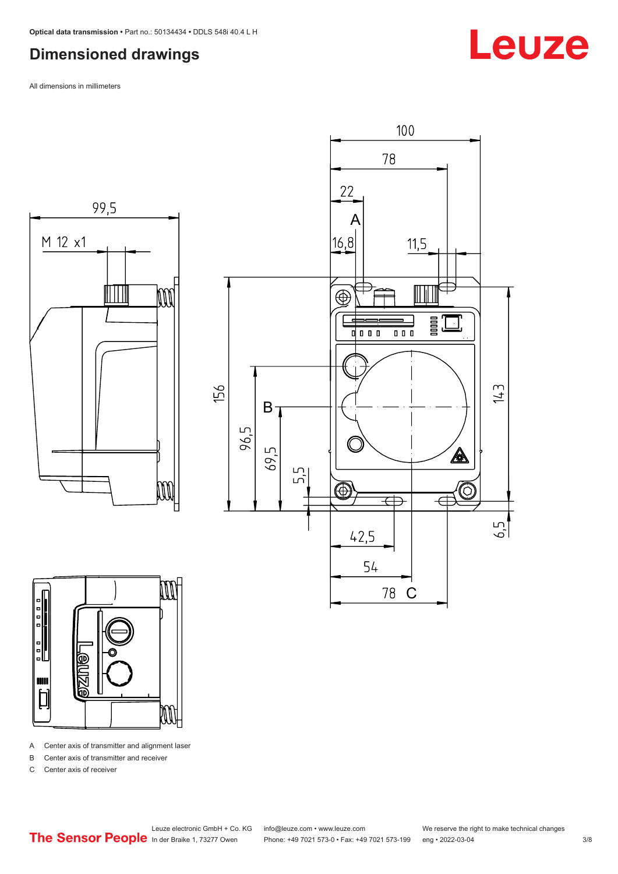#### <span id="page-2-0"></span>**Dimensioned drawings**

All dimensions in millimeters







A Center axis of transmitter and alignment laser

B Center axis of transmitter and receiver

C Center axis of receiver

Phone: +49 7021 573-0 • Fax: +49 7021 573-199 eng • 2022-03-04 3/8

Leuze

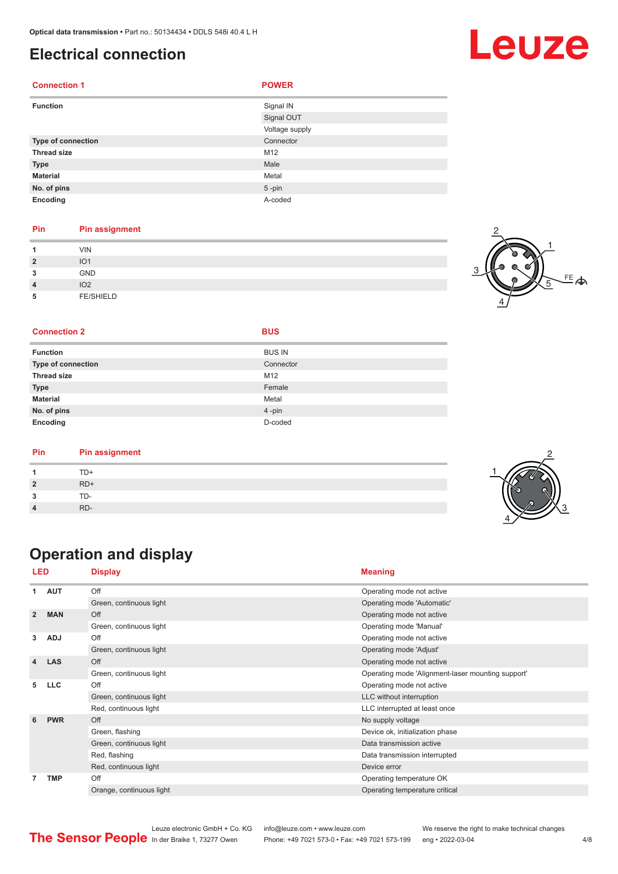#### <span id="page-3-0"></span>**Electrical connection**

| <b>Connection 1</b> | <b>POWER</b>   |
|---------------------|----------------|
| <b>Function</b>     | Signal IN      |
|                     | Signal OUT     |
|                     | Voltage supply |
| Type of connection  | Connector      |
| <b>Thread size</b>  | M12            |
| <b>Type</b>         | Male           |
| <b>Material</b>     | Metal          |
| No. of pins         | $5 - pin$      |
| Encoding            | A-coded        |

#### **Pin Pin assignment**

| и              | <b>VIN</b>       |  |
|----------------|------------------|--|
| $\overline{2}$ | IO <sub>1</sub>  |  |
| 3              | GND              |  |
| $\overline{4}$ | IO <sub>2</sub>  |  |
| 5              | <b>FE/SHIELD</b> |  |



#### **Connection 2 BUS**

| <b>Function</b>           | <b>BUS IN</b> |
|---------------------------|---------------|
| <b>Type of connection</b> | Connector     |
| <b>Thread size</b>        | M12           |
| <b>Type</b>               | Female        |
| <b>Material</b>           | Metal         |
| No. of pins               | 4-pin         |
| Encoding                  | D-coded       |

| Pin | <b>Pin assignment</b> |  |
|-----|-----------------------|--|
|     | TD+                   |  |
|     | $RD+$                 |  |
|     | TD-                   |  |
|     | RD-                   |  |

## **Operation and display**

| LED            |            | <b>Display</b>           | <b>Meaning</b>                                    |
|----------------|------------|--------------------------|---------------------------------------------------|
| 1              | <b>AUT</b> | Off                      | Operating mode not active                         |
|                |            | Green, continuous light  | Operating mode 'Automatic'                        |
| $\overline{2}$ | <b>MAN</b> | Off                      | Operating mode not active                         |
|                |            | Green, continuous light  | Operating mode 'Manual'                           |
| 3              | <b>ADJ</b> | Off                      | Operating mode not active                         |
|                |            | Green, continuous light  | Operating mode 'Adjust'                           |
| 4              | <b>LAS</b> | Off                      | Operating mode not active                         |
|                |            | Green, continuous light  | Operating mode 'Alignment-laser mounting support' |
| 5              | <b>LLC</b> | Off                      | Operating mode not active                         |
|                |            | Green, continuous light  | LLC without interruption                          |
|                |            | Red, continuous light    | LLC interrupted at least once                     |
| 6              | <b>PWR</b> | Off                      | No supply voltage                                 |
|                |            | Green, flashing          | Device ok, initialization phase                   |
|                |            | Green, continuous light  | Data transmission active                          |
|                |            | Red, flashing            | Data transmission interrupted                     |
|                |            | Red, continuous light    | Device error                                      |
| 7              | <b>TMP</b> | Off                      | Operating temperature OK                          |
|                |            | Orange, continuous light | Operating temperature critical                    |

## Leuze

Leuze electronic GmbH + Co. KG info@leuze.com • www.leuze.com We reserve the right to make technical changes<br>
The Sensor People in der Braike 1, 73277 Owen Phone: +49 7021 573-0 • Fax: +49 7021 573-199 eng • 2022-03-04 Phone: +49 7021 573-0 • Fax: +49 7021 573-199 eng • 2022-03-04 4/8

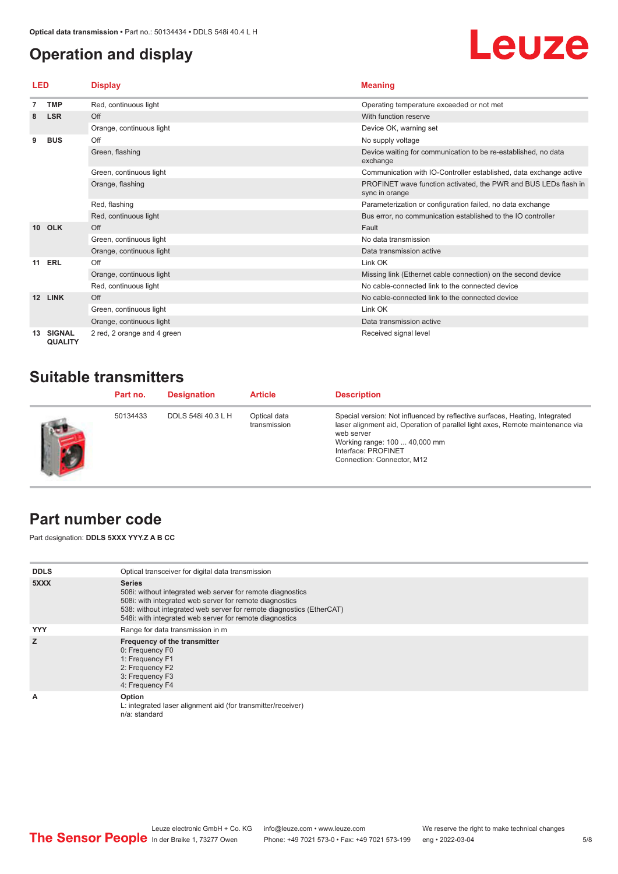### <span id="page-4-0"></span>**Operation and display**

# Leuze

| LED             |                                 | <b>Display</b>              | <b>Meaning</b>                                                                    |  |
|-----------------|---------------------------------|-----------------------------|-----------------------------------------------------------------------------------|--|
|                 | <b>TMP</b>                      | Red, continuous light       | Operating temperature exceeded or not met                                         |  |
|                 | <b>LSR</b>                      | Off                         | With function reserve                                                             |  |
|                 |                                 | Orange, continuous light    | Device OK, warning set                                                            |  |
| 9               | <b>BUS</b>                      | Off                         | No supply voltage                                                                 |  |
|                 |                                 | Green, flashing             | Device waiting for communication to be re-established, no data<br>exchange        |  |
|                 |                                 | Green, continuous light     | Communication with IO-Controller established, data exchange active                |  |
|                 |                                 | Orange, flashing            | PROFINET wave function activated, the PWR and BUS LEDs flash in<br>sync in orange |  |
|                 |                                 | Red, flashing               | Parameterization or configuration failed, no data exchange                        |  |
|                 |                                 | Red, continuous light       | Bus error, no communication established to the IO controller                      |  |
| 10 <sup>1</sup> | <b>OLK</b>                      | Off                         | Fault                                                                             |  |
|                 |                                 | Green, continuous light     | No data transmission                                                              |  |
|                 |                                 | Orange, continuous light    | Data transmission active                                                          |  |
| 11              | <b>ERL</b>                      | Off                         | Link OK                                                                           |  |
|                 |                                 | Orange, continuous light    | Missing link (Ethernet cable connection) on the second device                     |  |
|                 |                                 | Red, continuous light       | No cable-connected link to the connected device                                   |  |
| 12              | <b>LINK</b>                     | Off                         | No cable-connected link to the connected device                                   |  |
|                 |                                 | Green, continuous light     | Link OK                                                                           |  |
|                 |                                 | Orange, continuous light    | Data transmission active                                                          |  |
|                 | <b>SIGNAL</b><br><b>QUALITY</b> | 2 red, 2 orange and 4 green | Received signal level                                                             |  |

### **Suitable transmitters**

| Part no. | <b>Designation</b> | <b>Article</b>               | <b>Description</b>                                                                                                                                                                                                                                               |
|----------|--------------------|------------------------------|------------------------------------------------------------------------------------------------------------------------------------------------------------------------------------------------------------------------------------------------------------------|
| 50134433 | DDLS 548i 40.3 L H | Optical data<br>transmission | Special version: Not influenced by reflective surfaces, Heating, Integrated<br>laser alignment aid, Operation of parallel light axes, Remote maintenance via<br>web server<br>Working range: 100  40,000 mm<br>Interface: PROFINET<br>Connection: Connector, M12 |

#### **Part number code**

Part designation: **DDLS 5XXX YYY.Z A B CC**

| <b>DDLS</b> | Optical transceiver for digital data transmission                                                                                                                                                                                                                         |  |  |  |
|-------------|---------------------------------------------------------------------------------------------------------------------------------------------------------------------------------------------------------------------------------------------------------------------------|--|--|--|
| 5XXX        | <b>Series</b><br>508i: without integrated web server for remote diagnostics<br>508i: with integrated web server for remote diagnostics<br>538: without integrated web server for remote diagnostics (EtherCAT)<br>548i: with integrated web server for remote diagnostics |  |  |  |
| <b>YYY</b>  | Range for data transmission in m                                                                                                                                                                                                                                          |  |  |  |
| z           | Frequency of the transmitter<br>0: Frequency F0<br>1: Frequency F1<br>2: Frequency F2<br>3: Frequency F3<br>4: Frequency F4                                                                                                                                               |  |  |  |
| A           | Option<br>L: integrated laser alignment aid (for transmitter/receiver)<br>n/a: standard                                                                                                                                                                                   |  |  |  |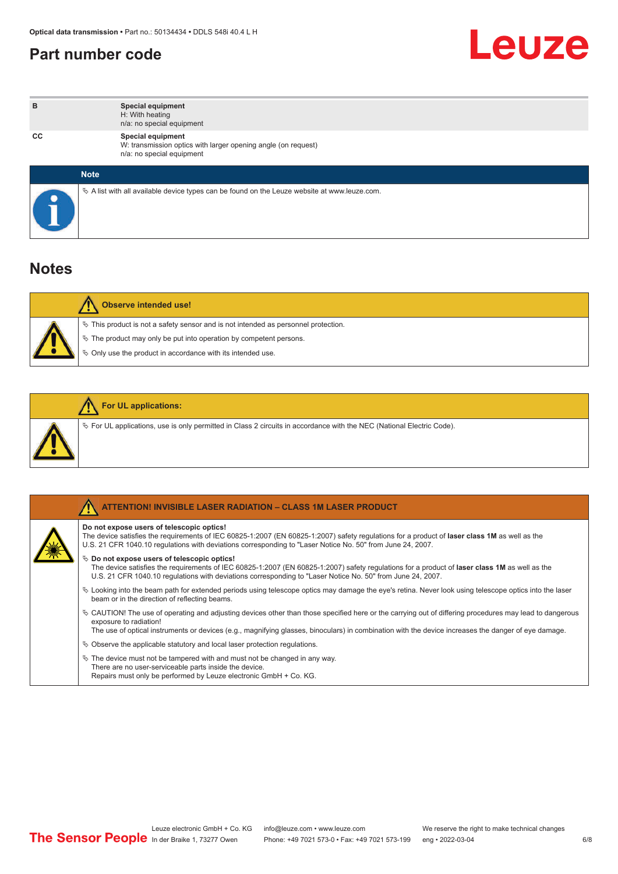#### <span id="page-5-0"></span>**Part number code**



| в  | Special equipment<br>H: With heating<br>n/a: no special equipment                                                      |
|----|------------------------------------------------------------------------------------------------------------------------|
| CС | <b>Special equipment</b><br>W: transmission optics with larger opening angle (on request)<br>n/a: no special equipment |
|    | <b>Note</b>                                                                                                            |
|    | $\&$ A list with all available device types can be found on the Leuze website at www.leuze.com.                        |

#### **Notes**

| <b>Observe intended use!</b> |                                                                                                                                                                                                                                  |  |  |  |  |
|------------------------------|----------------------------------------------------------------------------------------------------------------------------------------------------------------------------------------------------------------------------------|--|--|--|--|
|                              | $\%$ This product is not a safety sensor and is not intended as personnel protection.<br>$\&$ The product may only be put into operation by competent persons.<br>$\%$ Only use the product in accordance with its intended use. |  |  |  |  |

|  | <b>For UL applications:</b>                                                                                    |  |  |  |  |
|--|----------------------------------------------------------------------------------------------------------------|--|--|--|--|
|  | Vertical providence is only permitted in Class 2 circuits in accordance with the NEC (National Electric Code). |  |  |  |  |

| TENTION! INVISIBLE LASER RADIATION - CLASS 1M LASER PRODUCT                                                                                                                                                                                                                                                                                 |
|---------------------------------------------------------------------------------------------------------------------------------------------------------------------------------------------------------------------------------------------------------------------------------------------------------------------------------------------|
| Do not expose users of telescopic optics!<br>The device satisfies the requirements of IEC 60825-1:2007 (EN 60825-1:2007) safety regulations for a product of laser class 1M as well as the<br>U.S. 21 CFR 1040.10 requlations with deviations corresponding to "Laser Notice No. 50" from June 24, 2007.                                    |
| $\%$ Do not expose users of telescopic optics!<br>The device satisfies the requirements of IEC 60825-1:2007 (EN 60825-1:2007) safety regulations for a product of laser class 1M as well as the<br>U.S. 21 CFR 1040.10 requlations with deviations corresponding to "Laser Notice No. 50" from June 24, 2007.                               |
| $\&$ Looking into the beam path for extended periods using telescope optics may damage the eye's retina. Never look using telescope optics into the laser<br>beam or in the direction of reflecting beams.                                                                                                                                  |
| $\&$ CAUTION! The use of operating and adjusting devices other than those specified here or the carrying out of differing procedures may lead to dangerous<br>exposure to radiation!<br>The use of optical instruments or devices (e.g., magnifying glasses, binoculars) in combination with the device increases the danger of eye damage. |
| $\%$ Observe the applicable statutory and local laser protection regulations.                                                                                                                                                                                                                                                               |
| $\&$ The device must not be tampered with and must not be changed in any way.<br>There are no user-serviceable parts inside the device.<br>Repairs must only be performed by Leuze electronic GmbH + Co. KG.                                                                                                                                |

6/8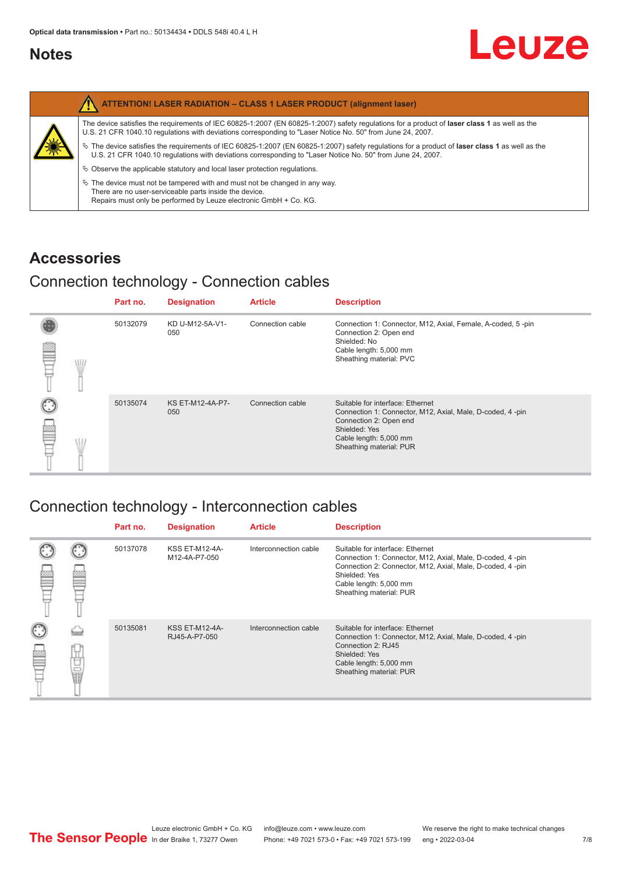#### <span id="page-6-0"></span>**Notes**

|   | <b>ATTENTION! LASER RADIATION - CLASS 1 LASER PRODUCT (alignment laser)</b>                                                                                                                                                                                     |
|---|-----------------------------------------------------------------------------------------------------------------------------------------------------------------------------------------------------------------------------------------------------------------|
|   | The device satisfies the requirements of IEC 60825-1:2007 (EN 60825-1:2007) safety requiations for a product of laser class 1 as well as the<br>U.S. 21 CFR 1040.10 regulations with deviations corresponding to "Laser Notice No. 50" from June 24, 2007.      |
| 纂 | $\%$ The device satisfies the requirements of IEC 60825-1:2007 (EN 60825-1:2007) safety requlations for a product of laser class 1 as well as the<br>U.S. 21 CFR 1040.10 requlations with deviations corresponding to "Laser Notice No. 50" from June 24, 2007. |
|   | $\&$ Observe the applicable statutory and local laser protection regulations.                                                                                                                                                                                   |
|   | $\%$ The device must not be tampered with and must not be changed in any way.<br>There are no user-serviceable parts inside the device.<br>Repairs must only be performed by Leuze electronic GmbH + Co. KG.                                                    |

#### **Accessories**

### Connection technology - Connection cables

|   |     | Part no. | <b>Designation</b>             | <b>Article</b>   | <b>Description</b>                                                                                                                                                                            |
|---|-----|----------|--------------------------------|------------------|-----------------------------------------------------------------------------------------------------------------------------------------------------------------------------------------------|
| ▩ | \l. | 50132079 | KD U-M12-5A-V1-<br>050         | Connection cable | Connection 1: Connector, M12, Axial, Female, A-coded, 5-pin<br>Connection 2: Open end<br>Shielded: No<br>Cable length: 5,000 mm<br>Sheathing material: PVC                                    |
|   |     | 50135074 | <b>KS ET-M12-4A-P7-</b><br>050 | Connection cable | Suitable for interface: Ethernet<br>Connection 1: Connector, M12, Axial, Male, D-coded, 4-pin<br>Connection 2: Open end<br>Shielded: Yes<br>Cable length: 5,000 mm<br>Sheathing material: PUR |

### Connection technology - Interconnection cables

|         | Part no. | <b>Designation</b>                     | <b>Article</b>        | <b>Description</b>                                                                                                                                                                                                               |
|---------|----------|----------------------------------------|-----------------------|----------------------------------------------------------------------------------------------------------------------------------------------------------------------------------------------------------------------------------|
|         | 50137078 | <b>KSS ET-M12-4A-</b><br>M12-4A-P7-050 | Interconnection cable | Suitable for interface: Ethernet<br>Connection 1: Connector, M12, Axial, Male, D-coded, 4-pin<br>Connection 2: Connector, M12, Axial, Male, D-coded, 4-pin<br>Shielded: Yes<br>Cable length: 5,000 mm<br>Sheathing material: PUR |
| —<br>11 | 50135081 | <b>KSS ET-M12-4A-</b><br>RJ45-A-P7-050 | Interconnection cable | Suitable for interface: Ethernet<br>Connection 1: Connector, M12, Axial, Male, D-coded, 4-pin<br>Connection 2: RJ45<br>Shielded: Yes<br>Cable length: 5,000 mm<br>Sheathing material: PUR                                        |

Leuze